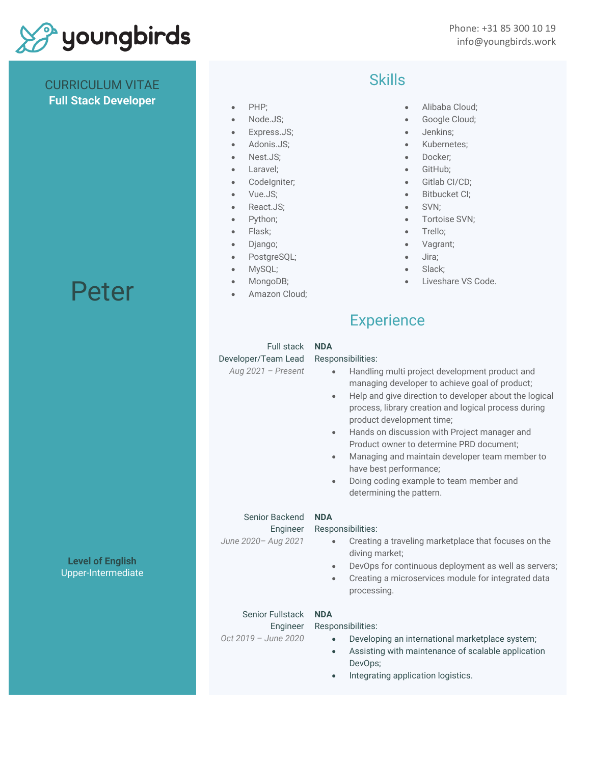

CURRICULUM VITAE **Full Stack Developer**

## • PHP;

- Node.JS;
- Express.JS;
- Adonis.JS;
- Nest.JS;
- Laravel;
- CodeIgniter;
- Vue.JS;
- React.JS;
- Python;
- Flask;
- Django;
- PostgreSQL;
- MySQL;
- MongoDB;
- Amazon Cloud;

## Skills

- Alibaba Cloud;
- Google Cloud;
- Jenkins;
- Kubernetes;
- Docker;
- GitHub;
- Gitlab CI/CD;
- Bitbucket CI;
- SVN;
- Tortoise SVN;
- Trello;
- Vagrant;
- Jira;
- Slack;
- Liveshare VS Code.

## **Experience**

| Full stack<br>Developer/Team Lead<br>Aug 2021 - Present     | <b>NDA</b><br>Responsibilities:<br>Handling multi project development product and<br>$\bullet$<br>managing developer to achieve goal of product;<br>Help and give direction to developer about the logical<br>$\bullet$<br>process, library creation and logical process during<br>product development time;<br>Hands on discussion with Project manager and<br>$\bullet$<br>Product owner to determine PRD document;<br>Managing and maintain developer team member to<br>$\bullet$<br>have best performance;<br>Doing coding example to team member and<br>$\bullet$<br>determining the pattern. |
|-------------------------------------------------------------|----------------------------------------------------------------------------------------------------------------------------------------------------------------------------------------------------------------------------------------------------------------------------------------------------------------------------------------------------------------------------------------------------------------------------------------------------------------------------------------------------------------------------------------------------------------------------------------------------|
| Senior Backend<br>Engineer<br>June 2020- Aug 2021           | <b>NDA</b><br>Responsibilities:<br>Creating a traveling marketplace that focuses on the<br>$\bullet$<br>diving market;<br>DevOps for continuous deployment as well as servers;<br>$\bullet$<br>Creating a microservices module for integrated data<br>$\bullet$<br>processing.                                                                                                                                                                                                                                                                                                                     |
| <b>Senior Fullstack</b><br>Engineer<br>Oct 2019 - June 2020 | <b>NDA</b><br>Responsibilities:<br>Developing an international marketplace system;<br>$\bullet$<br>Assisting with maintenance of scalable application<br>$\bullet$<br>DevOps;<br>Integrating application logistics.<br>$\bullet$                                                                                                                                                                                                                                                                                                                                                                   |

Peter

**Level of English** Upper-Intermediate